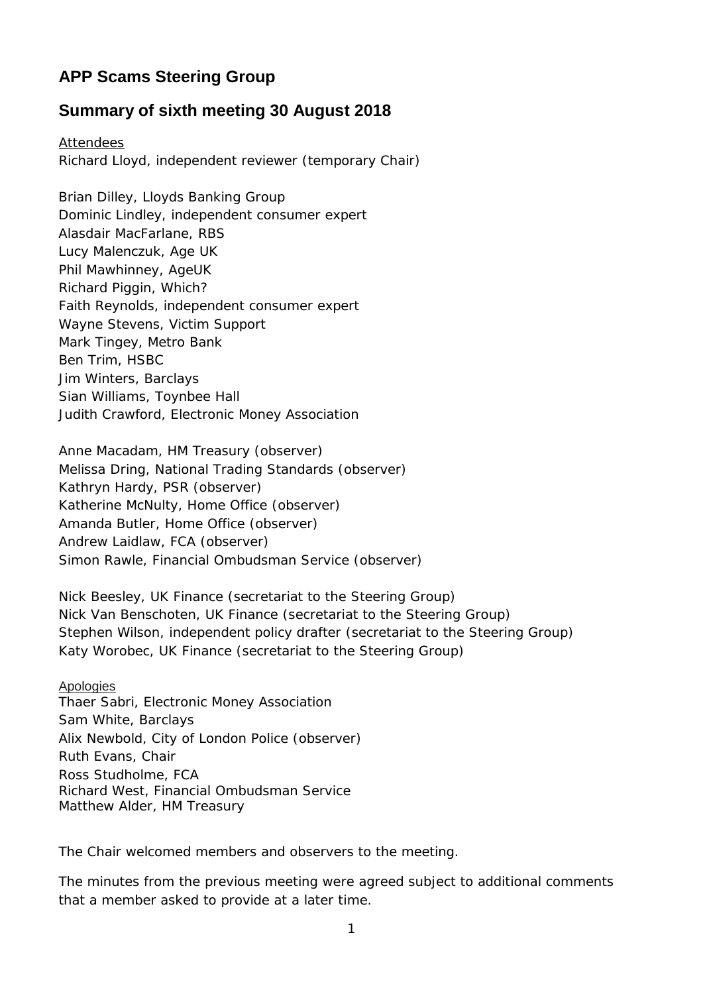## **APP Scams Steering Group**

## **Summary of sixth meeting 30 August 2018**

Attendees Richard Lloyd, independent reviewer (temporary Chair)

Brian Dilley, Lloyds Banking Group Dominic Lindley, independent consumer expert Alasdair MacFarlane, RBS Lucy Malenczuk, Age UK Phil Mawhinney, AgeUK Richard Piggin, Which? Faith Reynolds, independent consumer expert Wayne Stevens, Victim Support Mark Tingey, Metro Bank Ben Trim, HSBC Jim Winters, Barclays Sian Williams, Toynbee Hall Judith Crawford, Electronic Money Association

Anne Macadam, HM Treasury (observer) Melissa Dring, National Trading Standards (observer) Kathryn Hardy, PSR (observer) Katherine McNulty, Home Office (observer) Amanda Butler, Home Office (observer) Andrew Laidlaw, FCA (observer) Simon Rawle, Financial Ombudsman Service (observer)

Nick Beesley, UK Finance (secretariat to the Steering Group) Nick Van Benschoten, UK Finance (secretariat to the Steering Group) Stephen Wilson, independent policy drafter (secretariat to the Steering Group) Katy Worobec, UK Finance (secretariat to the Steering Group)

Apologies Thaer Sabri, Electronic Money Association Sam White, Barclays Alix Newbold, City of London Police (observer) Ruth Evans, Chair Ross Studholme, FCA Richard West, Financial Ombudsman Service Matthew Alder, HM Treasury

The Chair welcomed members and observers to the meeting.

The minutes from the previous meeting were agreed subject to additional comments that a member asked to provide at a later time.